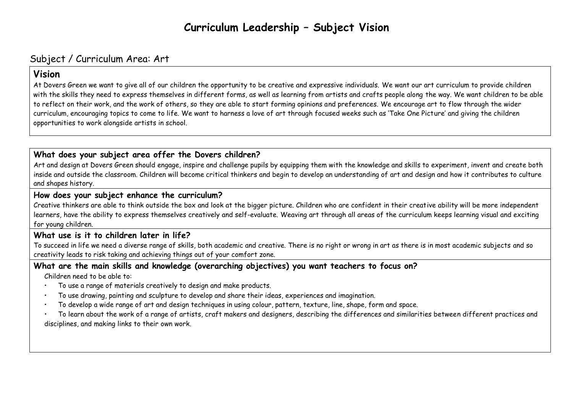# **Curriculum Leadership – Subject Vision**

# Subject / Curriculum Area: Art

# **Vision**

At Dovers Green we want to give all of our children the opportunity to be creative and expressive individuals. We want our art curriculum to provide children with the skills they need to express themselves in different forms, as well as learning from artists and crafts people along the way. We want children to be able to reflect on their work, and the work of others, so they are able to start forming opinions and preferences. We encourage art to flow through the wider curriculum, encouraging topics to come to life. We want to harness a love of art through focused weeks such as 'Take One Picture' and giving the children opportunities to work alongside artists in school.

# **What does your subject area offer the Dovers children?**

Art and design at Dovers Green should engage, inspire and challenge pupils by equipping them with the knowledge and skills to experiment, invent and create both inside and outside the classroom. Children will become critical thinkers and begin to develop an understanding of art and design and how it contributes to culture and shapes history.

# **How does your subject enhance the curriculum?**

Creative thinkers are able to think outside the box and look at the bigger picture. Children who are confident in their creative ability will be more independent learners, have the ability to express themselves creatively and self-evaluate. Weaving art through all areas of the curriculum keeps learning visual and exciting for young children.

# **What use is it to children later in life?**

To succeed in life we need a diverse range of skills, both academic and creative. There is no right or wrong in art as there is in most academic subjects and so creativity leads to risk taking and achieving things out of your comfort zone.

# **What are the main skills and knowledge (overarching objectives) you want teachers to focus on?**

Children need to be able to:

- To use a range of materials creatively to design and make products.
- To use drawing, painting and sculpture to develop and share their ideas, experiences and imagination.
- To develop a wide range of art and design techniques in using colour, pattern, texture, line, shape, form and space.
- To learn about the work of a range of artists, craft makers and designers, describing the differences and similarities between different practices and disciplines, and making links to their own work.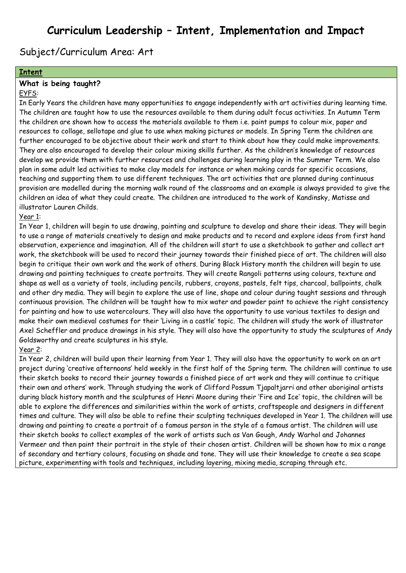# **Curriculum Leadership – Intent, Implementation and Impact**

Subject/Curriculum Area: Art

### **Intent**

#### **What is being taught?**

## EYFS:

In Early Years the children have many opportunities to engage independently with art activities during learning time. The children are taught how to use the resources available to them during adult focus activities. In Autumn Term the children are shown how to access the materials available to them i.e. paint pumps to colour mix, paper and resources to collage, sellotape and glue to use when making pictures or models. In Spring Term the children are further encouraged to be objective about their work and start to think about how they could make improvements. They are also encouraged to develop their colour mixing skills further. As the children's knowledge of resources develop we provide them with further resources and challenges during learning play in the Summer Term. We also plan in some adult led activities to make clay models for instance or when making cards for specific occasions, teaching and supporting them to use different techniques. The art activities that are planned during continuous provision are modelled during the morning walk round of the classrooms and an example is always provided to give the children an idea of what they could create. The children are introduced to the work of Kandinsky, Matisse and illustrator Lauren Childs.

#### Year 1:

In Year 1, children will begin to use drawing, painting and sculpture to develop and share their ideas. They will begin to use a range of materials creatively to design and make products and to record and explore ideas from first hand observation, experience and imagination. All of the children will start to use a sketchbook to gather and collect art work, the sketchbook will be used to record their journey towards their finished piece of art. The children will also begin to critique their own work and the work of others. During Black History month the children will begin to use drawing and painting techniques to create portraits. They will create Rangoli patterns using colours, texture and shape as well as a variety of tools, including pencils, rubbers, crayons, pastels, felt tips, charcoal, ballpoints, chalk and other dry media. They will begin to explore the use of line, shape and colour during taught sessions and through continuous provision. The children will be taught how to mix water and powder paint to achieve the right consistency for painting and how to use watercolours. They will also have the opportunity to use various textiles to design and make their own medieval costumes for their 'Living in a castle' topic. The children will study the work of illustrator Axel Scheffler and produce drawings in his style. They will also have the opportunity to study the sculptures of Andy Goldsworthy and create sculptures in his style.

#### Year 2:

In Year 2, children will build upon their learning from Year 1. They will also have the opportunity to work on an art project during 'creative afternoons' held weekly in the first half of the Spring term. The children will continue to use their sketch books to record their journey towards a finished piece of art work and they will continue to critique their own and others' work. Through studying the work of Clifford Possum Tjapaltjarri and other aboriginal artists during black history month and the sculptures of Henri Moore during their 'Fire and Ice' topic, the children will be able to explore the differences and similarities within the work of artists, craftspeople and designers in different times and culture. They will also be able to refine their sculpting techniques developed in Year 1. The children will use drawing and painting to create a portrait of a famous person in the style of a famous artist. The children will use their sketch books to collect examples of the work of artists such as Van Gough, Andy Warhol and Johannes Vermeer and then paint their portrait in the style of their chosen artist. Children will be shown how to mix a range of secondary and tertiary colours, focusing on shade and tone. They will use their knowledge to create a sea scape picture, experimenting with tools and techniques, including layering, mixing media, scraping through etc.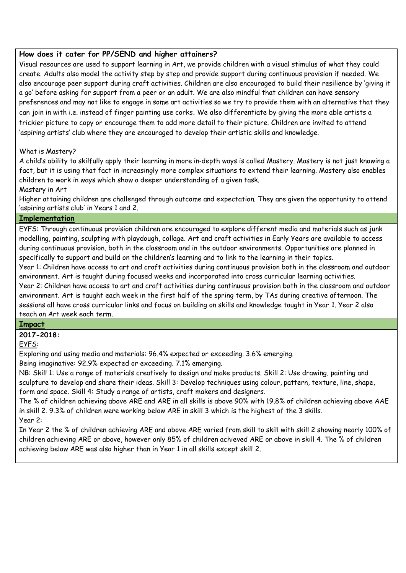## **How does it cater for PP/SEND and higher attainers?**

Visual resources are used to support learning in Art, we provide children with a visual stimulus of what they could create. Adults also model the activity step by step and provide support during continuous provision if needed. We also encourage peer support during craft activities. Children are also encouraged to build their resilience by 'giving it a go' before asking for support from a peer or an adult. We are also mindful that children can have sensory preferences and may not like to engage in some art activities so we try to provide them with an alternative that they can join in with i.e. instead of finger painting use corks. We also differentiate by giving the more able artists a trickier picture to copy or encourage them to add more detail to their picture. Children are invited to attend 'aspiring artists' club where they are encouraged to develop their artistic skills and knowledge.

## What is Mastery?

A child's ability to skilfully apply their learning in more in‐depth ways is called Mastery. Mastery is not just knowing a fact, but it is using that fact in increasingly more complex situations to extend their learning. Mastery also enables children to work in ways which show a deeper understanding of a given task.

### Mastery in Art

Higher attaining children are challenged through outcome and expectation. They are given the opportunity to attend 'aspiring artists club' in Years 1 and 2.

### **Implementation**

EYFS: Through continuous provision children are encouraged to explore different media and materials such as junk modelling, painting, sculpting with playdough, collage. Art and craft activities in Early Years are available to access during continuous provision, both in the classroom and in the outdoor environments. Opportunities are planned in specifically to support and build on the children's learning and to link to the learning in their topics.

Year 1: Children have access to art and craft activities during continuous provision both in the classroom and outdoor environment. Art is taught during focused weeks and incorporated into cross curricular learning activities.

Year 2: Children have access to art and craft activities during continuous provision both in the classroom and outdoor environment. Art is taught each week in the first half of the spring term, by TAs during creative afternoon. The sessions all have cross curricular links and focus on building on skills and knowledge taught in Year 1. Year 2 also teach an Art week each term.

## **Impact**

**2017-2018:**

EYFS:

Exploring and using media and materials: 96.4% expected or exceeding. 3.6% emerging.

Being imaginative: 92.9% expected or exceeding. 7.1% emerging.

NB: Skill 1: Use a range of materials creatively to design and make products. Skill 2: Use drawing, painting and sculpture to develop and share their ideas. Skill 3: Develop techniques using colour, pattern, texture, line, shape, form and space. Skill 4: Study a range of artists, craft makers and designers.

The % of children achieving above ARE and ARE in all skills is above 90% with 19.8% of children achieving above AAE in skill 2. 9.3% of children were working below ARE in skill 3 which is the highest of the 3 skills. Year 2:

In Year 2 the % of children achieving ARE and above ARE varied from skill to skill with skill 2 showing nearly 100% of children achieving ARE or above, however only 85% of children achieved ARE or above in skill 4. The % of children achieving below ARE was also higher than in Year 1 in all skills except skill 2.